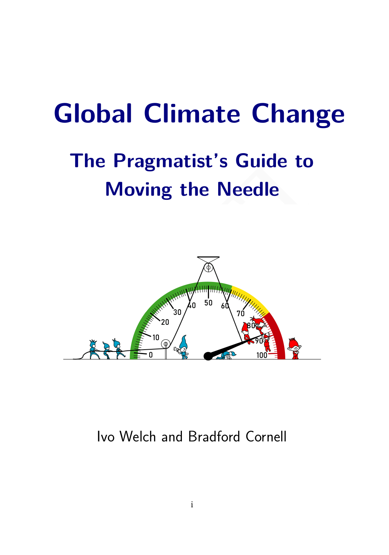# **Global Climate Change**

# **The Pragmatist's Guide to Moving the Needle**



Ivo Welch and Bradford Cornell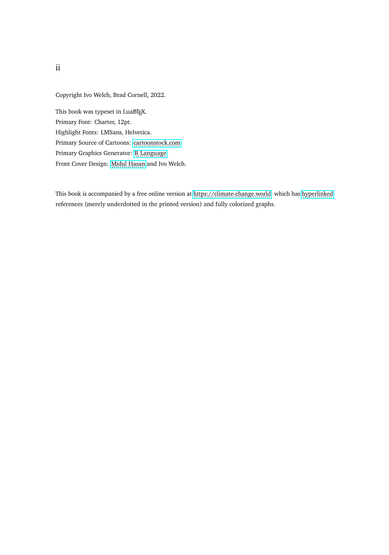Copyright Ivo Welch, Brad Cornell, 2022.

This book was typeset in LuaLTEX. Primary Font: Charter, 12pt. Highlight Fonts: LMSans, Helvetica. Primary Source of Cartoons: [cartoonstock.com.](http://cartoonstock.com) Primary Graphics Generator: R.Language. Front Cover Design: [Midul Hasan](https://www.fiverr.com/midulhasankhan) and Ivo Welch.

This book is accompanied by a free online version at [https://climate-change.world,](https://climate-change.world/) which has [hyperlinked](https://climate-change.world/) references (merely underdotted in the printed version) and fully colorized graphs.

ii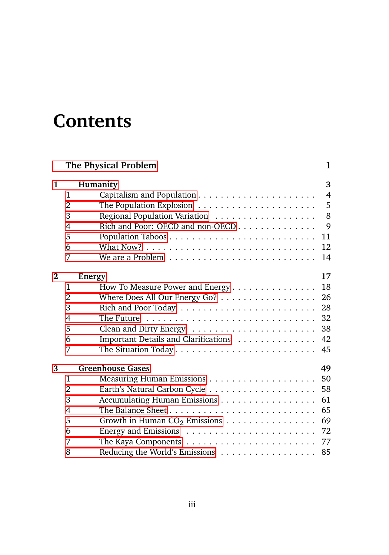# **Contents**

|          |                | The Physical Problem                                                        | 1              |
|----------|----------------|-----------------------------------------------------------------------------|----------------|
| 1        |                | Humanity                                                                    | 3              |
|          | 1              |                                                                             | $\overline{4}$ |
|          | $\overline{2}$ |                                                                             | 5              |
|          | 3              |                                                                             | 8              |
|          | $\overline{4}$ | Rich and Poor: OECD and non-OECD                                            | 9              |
|          | 5              |                                                                             | 11             |
|          | 6              |                                                                             | 12             |
|          | 7              |                                                                             | 14             |
| $\bf{2}$ |                | <b>Energy</b>                                                               | 17             |
|          | 1              | How To Measure Power and Energy                                             | 18             |
|          | $\overline{2}$ | Where Does All Our Energy Go? $\dots \dots \dots \dots \dots \dots$ 26      |                |
|          | 3              |                                                                             |                |
|          | $\overline{4}$ | The Future $\ldots \ldots \ldots \ldots \ldots \ldots \ldots \ldots \ldots$ |                |
|          | 5              |                                                                             |                |
|          | 6              | Important Details and Clarifications 42                                     |                |
|          | 7              |                                                                             | 45             |
| 3        |                | <b>Greenhouse Gases</b>                                                     | 49             |
|          | 1              |                                                                             |                |
|          | $\overline{2}$ |                                                                             |                |
|          | 3              | Accumulating Human Emissions                                                | 61             |
|          | $\overline{4}$ |                                                                             | 65             |
|          | 5              |                                                                             | 69             |
|          | 6              |                                                                             |                |
|          | 7              |                                                                             |                |
|          | 8              | Reducing the World's Emissions                                              | 85             |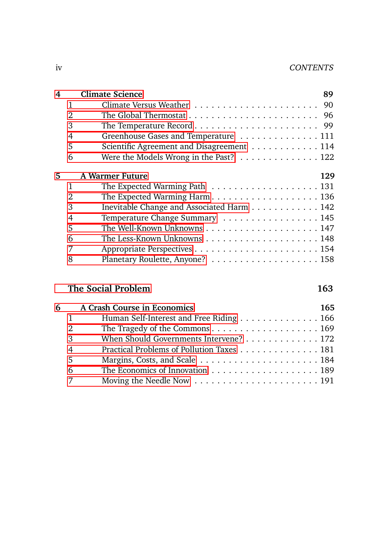| <b>Climate Science</b> | 89                                                                                                                                                                                                                                                                                                                      |
|------------------------|-------------------------------------------------------------------------------------------------------------------------------------------------------------------------------------------------------------------------------------------------------------------------------------------------------------------------|
|                        |                                                                                                                                                                                                                                                                                                                         |
|                        |                                                                                                                                                                                                                                                                                                                         |
|                        |                                                                                                                                                                                                                                                                                                                         |
|                        |                                                                                                                                                                                                                                                                                                                         |
|                        |                                                                                                                                                                                                                                                                                                                         |
|                        |                                                                                                                                                                                                                                                                                                                         |
| <b>A Warmer Future</b> | 129                                                                                                                                                                                                                                                                                                                     |
|                        |                                                                                                                                                                                                                                                                                                                         |
|                        |                                                                                                                                                                                                                                                                                                                         |
|                        |                                                                                                                                                                                                                                                                                                                         |
|                        |                                                                                                                                                                                                                                                                                                                         |
|                        |                                                                                                                                                                                                                                                                                                                         |
|                        |                                                                                                                                                                                                                                                                                                                         |
|                        |                                                                                                                                                                                                                                                                                                                         |
|                        |                                                                                                                                                                                                                                                                                                                         |
|                        | Greenhouse Gases and Temperature 111<br>Scientific Agreement and Disagreement 114<br>Were the Models Wrong in the Past? 122<br>The Expected Warming Path $\ldots \ldots \ldots \ldots \ldots \ldots 131$<br>The Expected Warming Harm136<br>Inevitable Change and Associated Harm 142<br>Temperature Change Summary 145 |

### [The Social Problem](#page-8-0) 163

| A Crash Course in Economics | 165                                                                                                                                                                                                                            |
|-----------------------------|--------------------------------------------------------------------------------------------------------------------------------------------------------------------------------------------------------------------------------|
|                             |                                                                                                                                                                                                                                |
|                             |                                                                                                                                                                                                                                |
|                             |                                                                                                                                                                                                                                |
|                             |                                                                                                                                                                                                                                |
|                             |                                                                                                                                                                                                                                |
|                             |                                                                                                                                                                                                                                |
|                             |                                                                                                                                                                                                                                |
| 2<br>3<br>5<br>6            | Human Self-Interest and Free Riding 166<br>When Should Governments Intervene? 172<br>Practical Problems of Pollution Taxes 181<br>Moving the Needle Now $\dots \dots \dots \dots \dots \dots \dots \dots \dots \dots 191$<br>7 |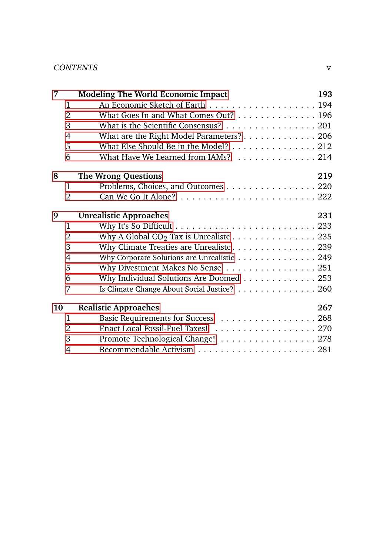#### CONTENTS v

| 7              | <b>Modeling The World Economic Impact</b>   | 193 |
|----------------|---------------------------------------------|-----|
| 1              |                                             |     |
| $\overline{2}$ | What Goes In and What Comes Out? 196        |     |
| 3              | What is the Scientific Consensus? 201       |     |
| $\overline{4}$ | What are the Right Model Parameters? 206    |     |
| 5              | What Else Should Be in the Model? 212       |     |
| 6              | What Have We Learned from IAMs? 214         |     |
| 8              | <b>The Wrong Questions</b>                  | 219 |
| 1              | Problems, Choices, and Outcomes 220         |     |
| $\overline{2}$ |                                             |     |
| 9              | <b>Unrealistic Approaches</b>               | 231 |
| 1              |                                             |     |
| $\overline{2}$ | Why A Global $CO_2$ Tax is Unrealiste 235   |     |
| 3              | Why Climate Treaties are Unrealist c. 239   |     |
| $\overline{4}$ | Why Corporate Solutions are Unrealistic 249 |     |
| 5              | Why Divestment Makes No Sense 251           |     |
| 6              | Why Individual Solutions Are Doomed 253     |     |
| 7              | Is Climate Change About Social Justice? 260 |     |
| 10             | <b>Realistic Approaches</b>                 | 267 |
| 1              |                                             |     |
| $\overline{2}$ | Enact Local Fossil-Fuel Taxes! 270          |     |
| 3              | Promote Technological Change! 278           |     |
| 4              |                                             |     |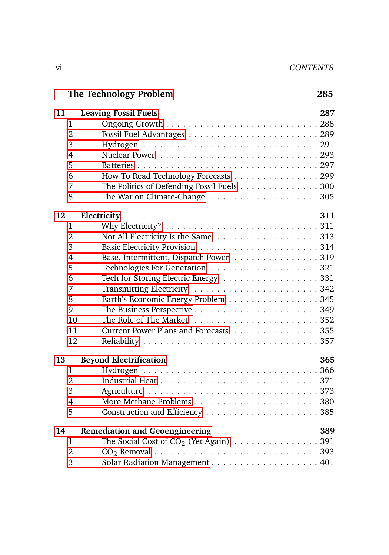# **[The Technology Problem](#page-8-0)**

| I<br>I<br>۰.<br>M.<br>۰. |
|--------------------------|
|--------------------------|

| 11             | <b>Leaving Fossil Fuels</b><br>287                                                    |
|----------------|---------------------------------------------------------------------------------------|
| 1              |                                                                                       |
| $\overline{2}$ |                                                                                       |
| 3              |                                                                                       |
| $\overline{4}$ |                                                                                       |
| 5              |                                                                                       |
| 6              | How To Read Technology Forecasts 299                                                  |
| 7              | The Politics of Defending Fossil Fuels 300                                            |
| 8              | The War on Climate-Change $\dots\dots\dots\dots\dots\dots\dots305$                    |
| 12             | 311<br>Electricity                                                                    |
| 1              | Why Electricity? $\ldots \ldots \ldots \ldots \ldots \ldots \ldots \ldots \ldots 311$ |
| $\overline{2}$ | Not All Electricity Is the Same 313                                                   |
| 3              |                                                                                       |
| $\overline{4}$ | Base, Intermittent, Dispatch Power 319                                                |
| 5              |                                                                                       |
| 6              | Tech for Storing Electric Energy 331                                                  |
| 7              |                                                                                       |
| 8              | Earth's Economic Energy Problem 345                                                   |
| 9              |                                                                                       |
| 10             |                                                                                       |
| 11             | Current Power Plans and Forecasts 355                                                 |
| 12             |                                                                                       |
| 13             | <b>Beyond Electrification</b><br>365                                                  |
| $\mathbf{1}$   |                                                                                       |
| $\overline{2}$ |                                                                                       |
| 3              |                                                                                       |
| $\overline{4}$ |                                                                                       |
| 5              |                                                                                       |
| 14             | 389<br><b>Remediation and Geoengineering</b>                                          |
| 1              | The Social Cost of $CO_2$ (Yet Again) 391                                             |
| $\overline{2}$ |                                                                                       |
| 3              |                                                                                       |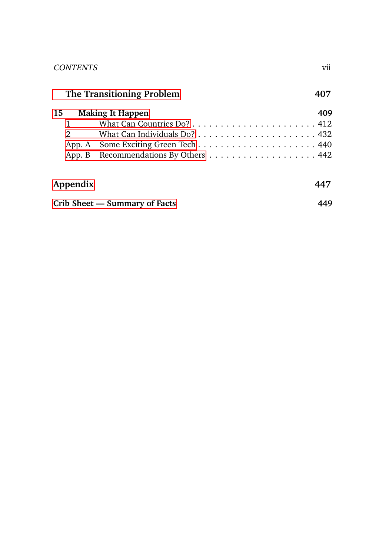| V11 |
|-----|
|     |

| The Transitioning Problem |                         | 407 |
|---------------------------|-------------------------|-----|
| 15                        | <b>Making It Happen</b> | 409 |

|                | $\omega$ wanting it frappell         | TV 7 |
|----------------|--------------------------------------|------|
| $\sim$ 1       |                                      |      |
| $\overline{2}$ |                                      |      |
|                |                                      |      |
|                | App. B Recommendations By Others 442 |      |
|                |                                      |      |

| Appendix                      | 447 |
|-------------------------------|-----|
| Crib Sheet — Summary of Facts | 449 |